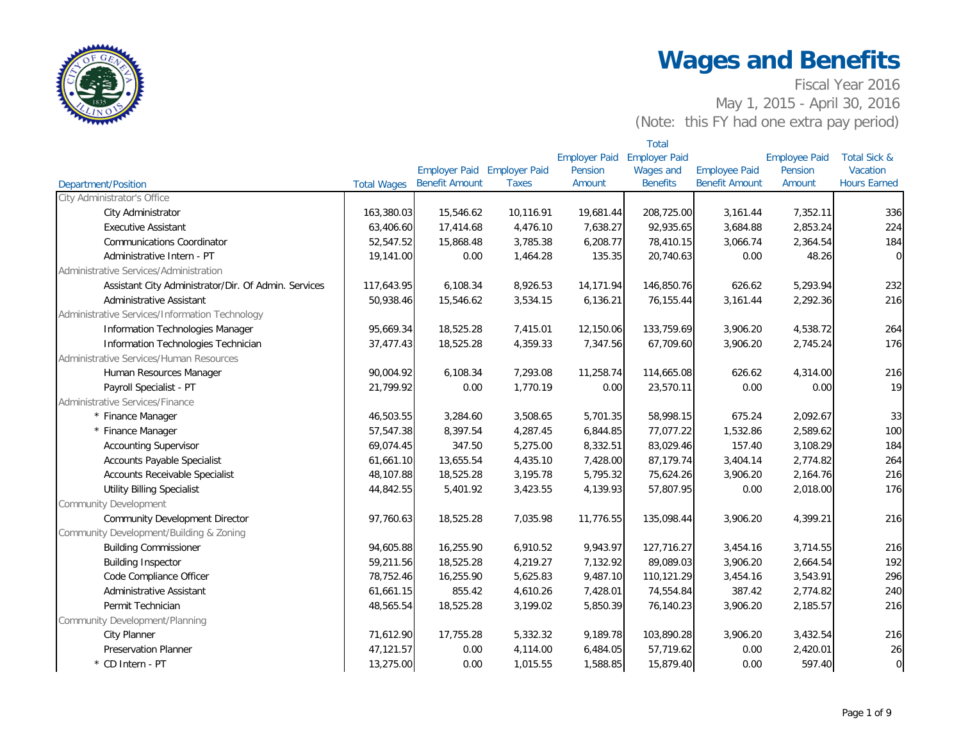

|                                                      |                    |                       |                      |                      | <b>Total</b>         |                       |                      |                         |
|------------------------------------------------------|--------------------|-----------------------|----------------------|----------------------|----------------------|-----------------------|----------------------|-------------------------|
|                                                      |                    |                       |                      | <b>Employer Paid</b> | <b>Employer Paid</b> |                       | <b>Employee Paid</b> | <b>Total Sick &amp;</b> |
|                                                      |                    | <b>Employer Paid</b>  | <b>Employer Paid</b> | Pension              | Wages and            | <b>Employee Paid</b>  | Pension              | Vacation                |
| <b>Department/Position</b>                           | <b>Total Wages</b> | <b>Benefit Amount</b> | <b>Taxes</b>         | Amount               | <b>Benefits</b>      | <b>Benefit Amount</b> | Amount               | <b>Hours Earned</b>     |
| City Administrator's Office                          |                    |                       |                      |                      |                      |                       |                      |                         |
| City Administrator                                   | 163,380.03         | 15,546.62             | 10,116.91            | 19,681.44            | 208,725.00           | 3,161.44              | 7,352.11             | 336                     |
| <b>Executive Assistant</b>                           | 63,406.60          | 17,414.68             | 4,476.10             | 7,638.27             | 92,935.65            | 3,684.88              | 2,853.24             | 224                     |
| <b>Communications Coordinator</b>                    | 52,547.52          | 15,868.48             | 3,785.38             | 6,208.77             | 78,410.15            | 3,066.74              | 2,364.54             | 184                     |
| Administrative Intern - PT                           | 19,141.00          | 0.00                  | 1,464.28             | 135.35               | 20,740.63            | 0.00                  | 48.26                | $\mathbf 0$             |
| Administrative Services/Administration               |                    |                       |                      |                      |                      |                       |                      |                         |
| Assistant City Administrator/Dir. Of Admin. Services | 117,643.95         | 6,108.34              | 8,926.53             | 14,171.94            | 146,850.76           | 626.62                | 5,293.94             | 232                     |
| Administrative Assistant                             | 50,938.46          | 15,546.62             | 3,534.15             | 6,136.21             | 76,155.44            | 3,161.44              | 2,292.36             | 216                     |
| Administrative Services/Information Technology       |                    |                       |                      |                      |                      |                       |                      |                         |
| Information Technologies Manager                     | 95,669.34          | 18,525.28             | 7,415.01             | 12,150.06            | 133,759.69           | 3,906.20              | 4,538.72             | 264                     |
| Information Technologies Technician                  | 37,477.43          | 18,525.28             | 4,359.33             | 7,347.56             | 67,709.60            | 3,906.20              | 2,745.24             | 176                     |
| Administrative Services/Human Resources              |                    |                       |                      |                      |                      |                       |                      |                         |
| Human Resources Manager                              | 90,004.92          | 6,108.34              | 7,293.08             | 11,258.74            | 114,665.08           | 626.62                | 4,314.00             | 216                     |
| Payroll Specialist - PT                              | 21,799.92          | 0.00                  | 1,770.19             | 0.00                 | 23,570.11            | 0.00                  | 0.00                 | 19                      |
| Administrative Services/Finance                      |                    |                       |                      |                      |                      |                       |                      |                         |
| * Finance Manager                                    | 46,503.55          | 3,284.60              | 3,508.65             | 5,701.35             | 58,998.15            | 675.24                | 2,092.67             | 33                      |
| * Finance Manager                                    | 57,547.38          | 8,397.54              | 4,287.45             | 6,844.85             | 77,077.22            | 1,532.86              | 2,589.62             | 100                     |
| <b>Accounting Supervisor</b>                         | 69,074.45          | 347.50                | 5,275.00             | 8,332.51             | 83,029.46            | 157.40                | 3,108.29             | 184                     |
| <b>Accounts Payable Specialist</b>                   | 61,661.10          | 13,655.54             | 4,435.10             | 7,428.00             | 87,179.74            | 3,404.14              | 2,774.82             | 264                     |
| <b>Accounts Receivable Specialist</b>                | 48,107.88          | 18,525.28             | 3,195.78             | 5,795.32             | 75,624.26            | 3,906.20              | 2,164.76             | 216                     |
| <b>Utility Billing Specialist</b>                    | 44,842.55          | 5,401.92              | 3,423.55             | 4,139.93             | 57,807.95            | 0.00                  | 2,018.00             | 176                     |
| <b>Community Development</b>                         |                    |                       |                      |                      |                      |                       |                      |                         |
| <b>Community Development Director</b>                | 97,760.63          | 18,525.28             | 7,035.98             | 11,776.55            | 135,098.44           | 3,906.20              | 4,399.21             | 216                     |
| Community Development/Building & Zoning              |                    |                       |                      |                      |                      |                       |                      |                         |
| <b>Building Commissioner</b>                         | 94,605.88          | 16,255.90             | 6,910.52             | 9,943.97             | 127,716.27           | 3,454.16              | 3,714.55             | 216                     |
| <b>Building Inspector</b>                            | 59,211.56          | 18,525.28             | 4,219.27             | 7,132.92             | 89,089.03            | 3,906.20              | 2,664.54             | 192                     |
| Code Compliance Officer                              | 78,752.46          | 16,255.90             | 5,625.83             | 9,487.10             | 110,121.29           | 3,454.16              | 3,543.91             | 296                     |
| Administrative Assistant                             | 61,661.15          | 855.42                | 4,610.26             | 7,428.01             | 74,554.84            | 387.42                | 2,774.82             | 240                     |
| Permit Technician                                    | 48,565.54          | 18,525.28             | 3,199.02             | 5,850.39             | 76,140.23            | 3,906.20              | 2,185.57             | 216                     |
| Community Development/Planning                       |                    |                       |                      |                      |                      |                       |                      |                         |
| <b>City Planner</b>                                  | 71,612.90          | 17,755.28             | 5,332.32             | 9,189.78             | 103,890.28           | 3,906.20              | 3,432.54             | 216                     |
| <b>Preservation Planner</b>                          | 47,121.57          | 0.00                  | 4,114.00             | 6,484.05             | 57,719.62            | 0.00                  | 2,420.01             | 26                      |
| * CD Intern - PT                                     | 13,275.00          | 0.00                  | 1,015.55             | 1,588.85             | 15,879.40            | 0.00                  | 597.40               | $\overline{0}$          |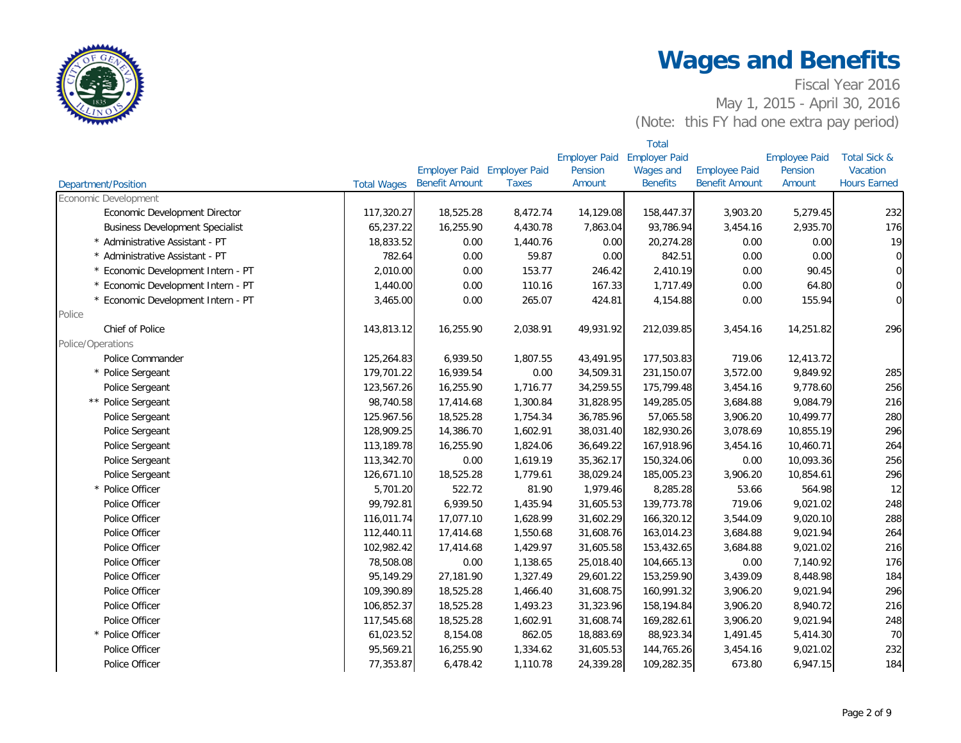

|                                        |                    |                       |                             |                      | Total                |                       |                      |                         |  |  |  |  |
|----------------------------------------|--------------------|-----------------------|-----------------------------|----------------------|----------------------|-----------------------|----------------------|-------------------------|--|--|--|--|
|                                        |                    |                       |                             | <b>Employer Paid</b> | <b>Employer Paid</b> |                       | <b>Employee Paid</b> | <b>Total Sick &amp;</b> |  |  |  |  |
|                                        |                    |                       | Employer Paid Employer Paid | Pension              | Wages and            | <b>Employee Paid</b>  | Pension              | Vacation                |  |  |  |  |
| <b>Department/Position</b>             | <b>Total Wages</b> | <b>Benefit Amount</b> | <b>Taxes</b>                | Amount               | <b>Benefits</b>      | <b>Benefit Amount</b> | Amount               | <b>Hours Earned</b>     |  |  |  |  |
| Economic Development                   |                    |                       |                             |                      |                      |                       |                      |                         |  |  |  |  |
| Economic Development Director          | 117,320.27         | 18,525.28             | 8,472.74                    | 14,129.08            | 158,447.37           | 3,903.20              | 5,279.45             | 232                     |  |  |  |  |
| <b>Business Development Specialist</b> | 65,237.22          | 16,255.90             | 4,430.78                    | 7,863.04             | 93,786.94            | 3,454.16              | 2,935.70             | 176                     |  |  |  |  |
| Administrative Assistant - PT          | 18,833.52          | 0.00                  | 1,440.76                    | 0.00                 | 20,274.28            | 0.00                  | 0.00                 | 19                      |  |  |  |  |
| Administrative Assistant - PT          | 782.64             | 0.00                  | 59.87                       | 0.00                 | 842.51               | 0.00                  | 0.00                 | $\overline{0}$          |  |  |  |  |
| Economic Development Intern - PT       | 2,010.00           | 0.00                  | 153.77                      | 246.42               | 2,410.19             | 0.00                  | 90.45                | $\overline{0}$          |  |  |  |  |
| Economic Development Intern - PT       | 1,440.00           | 0.00                  | 110.16                      | 167.33               | 1,717.49             | 0.00                  | 64.80                | $\overline{0}$          |  |  |  |  |
| Economic Development Intern - PT       | 3,465.00           | 0.00                  | 265.07                      | 424.81               | 4,154.88             | 0.00                  | 155.94               | $\overline{0}$          |  |  |  |  |
| Police                                 |                    |                       |                             |                      |                      |                       |                      |                         |  |  |  |  |
| Chief of Police                        | 143,813.12         | 16,255.90             | 2,038.91                    | 49,931.92            | 212,039.85           | 3,454.16              | 14,251.82            | 296                     |  |  |  |  |
| Police/Operations                      |                    |                       |                             |                      |                      |                       |                      |                         |  |  |  |  |
| Police Commander                       | 125,264.83         | 6,939.50              | 1,807.55                    | 43,491.95            | 177,503.83           | 719.06                | 12,413.72            |                         |  |  |  |  |
| * Police Sergeant                      | 179,701.22         | 16,939.54             | 0.00                        | 34,509.31            | 231,150.07           | 3,572.00              | 9,849.92             | 285                     |  |  |  |  |
| Police Sergeant                        | 123,567.26         | 16,255.90             | 1,716.77                    | 34,259.55            | 175,799.48           | 3,454.16              | 9,778.60             | 256                     |  |  |  |  |
| ** Police Sergeant                     | 98,740.58          | 17,414.68             | 1,300.84                    | 31,828.95            | 149,285.05           | 3,684.88              | 9,084.79             | 216                     |  |  |  |  |
| Police Sergeant                        | 125.967.56         | 18,525.28             | 1,754.34                    | 36,785.96            | 57,065.58            | 3,906.20              | 10,499.77            | 280                     |  |  |  |  |
| Police Sergeant                        | 128,909.25         | 14,386.70             | 1,602.91                    | 38,031.40            | 182,930.26           | 3,078.69              | 10,855.19            | 296                     |  |  |  |  |
| Police Sergeant                        | 113,189.78         | 16,255.90             | 1,824.06                    | 36,649.22            | 167,918.96           | 3,454.16              | 10,460.71            | 264                     |  |  |  |  |
| Police Sergeant                        | 113,342.70         | 0.00                  | 1,619.19                    | 35,362.17            | 150,324.06           | 0.00                  | 10,093.36            | 256                     |  |  |  |  |
| Police Sergeant                        | 126,671.10         | 18,525.28             | 1,779.61                    | 38,029.24            | 185,005.23           | 3,906.20              | 10,854.61            | 296                     |  |  |  |  |
| * Police Officer                       | 5,701.20           | 522.72                | 81.90                       | 1,979.46             | 8,285.28             | 53.66                 | 564.98               | 12                      |  |  |  |  |
| Police Officer                         | 99,792.81          | 6,939.50              | 1,435.94                    | 31,605.53            | 139,773.78           | 719.06                | 9,021.02             | 248                     |  |  |  |  |
| Police Officer                         | 116,011.74         | 17,077.10             | 1,628.99                    | 31,602.29            | 166,320.12           | 3,544.09              | 9,020.10             | 288                     |  |  |  |  |
| Police Officer                         | 112,440.11         | 17,414.68             | 1,550.68                    | 31,608.76            | 163,014.23           | 3,684.88              | 9,021.94             | 264                     |  |  |  |  |
| Police Officer                         | 102,982.42         | 17,414.68             | 1,429.97                    | 31,605.58            | 153,432.65           | 3,684.88              | 9,021.02             | 216                     |  |  |  |  |
| Police Officer                         | 78,508.08          | 0.00                  | 1,138.65                    | 25,018.40            | 104,665.13           | 0.00                  | 7,140.92             | 176                     |  |  |  |  |
| Police Officer                         | 95,149.29          | 27,181.90             | 1,327.49                    | 29,601.22            | 153,259.90           | 3,439.09              | 8,448.98             | 184                     |  |  |  |  |
| Police Officer                         | 109,390.89         | 18,525.28             | 1,466.40                    | 31,608.75            | 160,991.32           | 3,906.20              | 9,021.94             | 296                     |  |  |  |  |
| Police Officer                         | 106,852.37         | 18,525.28             | 1,493.23                    | 31,323.96            | 158,194.84           | 3,906.20              | 8,940.72             | 216                     |  |  |  |  |
| Police Officer                         | 117,545.68         | 18,525.28             | 1,602.91                    | 31,608.74            | 169,282.61           | 3,906.20              | 9,021.94             | 248                     |  |  |  |  |
| * Police Officer                       | 61,023.52          | 8,154.08              | 862.05                      | 18,883.69            | 88,923.34            | 1,491.45              | 5,414.30             | 70                      |  |  |  |  |
| Police Officer                         | 95,569.21          | 16,255.90             | 1,334.62                    | 31,605.53            | 144,765.26           | 3,454.16              | 9,021.02             | 232                     |  |  |  |  |
| Police Officer                         | 77,353.87          | 6,478.42              | 1,110.78                    | 24,339.28            | 109,282.35           | 673.80                | 6,947.15             | 184                     |  |  |  |  |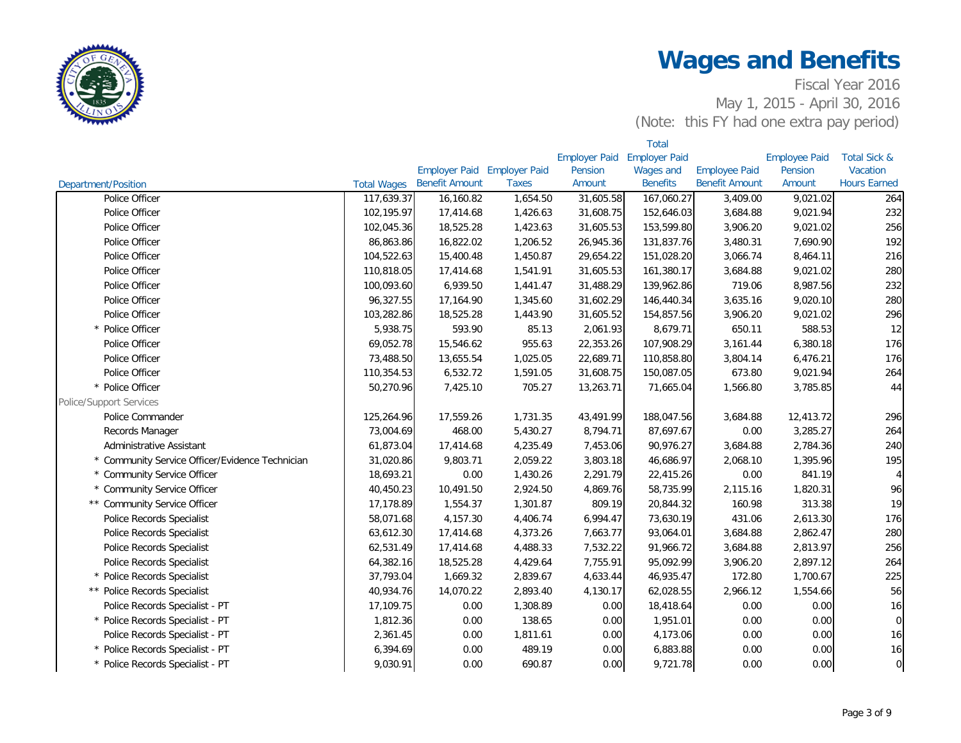

|                                               |                    |                       |                             |                             | <b>Total</b>    |                       |                      |                         |
|-----------------------------------------------|--------------------|-----------------------|-----------------------------|-----------------------------|-----------------|-----------------------|----------------------|-------------------------|
|                                               |                    |                       |                             | Employer Paid Employer Paid |                 |                       | <b>Employee Paid</b> | <b>Total Sick &amp;</b> |
|                                               |                    |                       | Employer Paid Employer Paid | Pension                     | Wages and       | <b>Employee Paid</b>  | Pension              | Vacation                |
| <b>Department/Position</b>                    | <b>Total Wages</b> | <b>Benefit Amount</b> | <b>Taxes</b>                | Amount                      | <b>Benefits</b> | <b>Benefit Amount</b> | Amount               | <b>Hours Earned</b>     |
| Police Officer                                | 117,639.37         | 16,160.82             | 1,654.50                    | 31,605.58                   | 167,060.27      | 3,409.00              | 9,021.02             | 264                     |
| Police Officer                                | 102,195.97         | 17,414.68             | 1,426.63                    | 31,608.75                   | 152,646.03      | 3,684.88              | 9,021.94             | 232                     |
| Police Officer                                | 102,045.36         | 18,525.28             | 1,423.63                    | 31,605.53                   | 153,599.80      | 3,906.20              | 9,021.02             | 256                     |
| Police Officer                                | 86,863.86          | 16,822.02             | 1,206.52                    | 26,945.36                   | 131,837.76      | 3,480.31              | 7,690.90             | 192                     |
| Police Officer                                | 104,522.63         | 15,400.48             | 1,450.87                    | 29,654.22                   | 151,028.20      | 3,066.74              | 8,464.11             | 216                     |
| Police Officer                                | 110,818.05         | 17,414.68             | 1,541.91                    | 31,605.53                   | 161,380.17      | 3,684.88              | 9,021.02             | 280                     |
| Police Officer                                | 100,093.60         | 6,939.50              | 1,441.47                    | 31,488.29                   | 139,962.86      | 719.06                | 8,987.56             | 232                     |
| Police Officer                                | 96,327.55          | 17,164.90             | 1,345.60                    | 31,602.29                   | 146,440.34      | 3,635.16              | 9,020.10             | 280                     |
| Police Officer                                | 103,282.86         | 18,525.28             | 1,443.90                    | 31,605.52                   | 154,857.56      | 3,906.20              | 9,021.02             | 296                     |
| * Police Officer                              | 5,938.75           | 593.90                | 85.13                       | 2,061.93                    | 8,679.71        | 650.11                | 588.53               | 12                      |
| Police Officer                                | 69,052.78          | 15,546.62             | 955.63                      | 22,353.26                   | 107,908.29      | 3,161.44              | 6,380.18             | 176                     |
| Police Officer                                | 73,488.50          | 13,655.54             | 1,025.05                    | 22,689.71                   | 110,858.80      | 3,804.14              | 6,476.21             | 176                     |
| Police Officer                                | 110,354.53         | 6,532.72              | 1,591.05                    | 31,608.75                   | 150,087.05      | 673.80                | 9,021.94             | 264                     |
| * Police Officer                              | 50,270.96          | 7,425.10              | 705.27                      | 13,263.71                   | 71,665.04       | 1,566.80              | 3,785.85             | 44                      |
| <b>Police/Support Services</b>                |                    |                       |                             |                             |                 |                       |                      |                         |
| Police Commander                              | 125,264.96         | 17,559.26             | 1,731.35                    | 43,491.99                   | 188,047.56      | 3,684.88              | 12,413.72            | 296                     |
| Records Manager                               | 73,004.69          | 468.00                | 5,430.27                    | 8,794.71                    | 87,697.67       | 0.00                  | 3,285.27             | 264                     |
| Administrative Assistant                      | 61,873.04          | 17,414.68             | 4,235.49                    | 7,453.06                    | 90,976.27       | 3,684.88              | 2,784.36             | 240                     |
| Community Service Officer/Evidence Technician | 31,020.86          | 9,803.71              | 2,059.22                    | 3,803.18                    | 46,686.97       | 2,068.10              | 1,395.96             | 195                     |
| <b>Community Service Officer</b>              | 18,693.21          | 0.00                  | 1,430.26                    | 2,291.79                    | 22,415.26       | 0.00                  | 841.19               | 4 <sup>1</sup>          |
| <b>Community Service Officer</b>              | 40,450.23          | 10,491.50             | 2,924.50                    | 4,869.76                    | 58,735.99       | 2,115.16              | 1,820.31             | 96                      |
| ** Community Service Officer                  | 17,178.89          | 1,554.37              | 1,301.87                    | 809.19                      | 20,844.32       | 160.98                | 313.38               | 19                      |
| Police Records Specialist                     | 58,071.68          | 4,157.30              | 4,406.74                    | 6,994.47                    | 73,630.19       | 431.06                | 2,613.30             | 176                     |
| Police Records Specialist                     | 63,612.30          | 17,414.68             | 4,373.26                    | 7,663.77                    | 93,064.01       | 3,684.88              | 2,862.47             | 280                     |
| <b>Police Records Specialist</b>              | 62,531.49          | 17,414.68             | 4,488.33                    | 7,532.22                    | 91,966.72       | 3,684.88              | 2,813.97             | 256                     |
| Police Records Specialist                     | 64,382.16          | 18,525.28             | 4,429.64                    | 7,755.91                    | 95,092.99       | 3,906.20              | 2,897.12             | 264                     |
| * Police Records Specialist                   | 37,793.04          | 1,669.32              | 2,839.67                    | 4,633.44                    | 46,935.47       | 172.80                | 1,700.67             | 225                     |
| ** Police Records Specialist                  | 40,934.76          | 14,070.22             | 2,893.40                    | 4,130.17                    | 62,028.55       | 2,966.12              | 1,554.66             | 56                      |
| Police Records Specialist - PT                | 17,109.75          | 0.00                  | 1,308.89                    | 0.00                        | 18,418.64       | 0.00                  | 0.00                 | 16                      |
| * Police Records Specialist - PT              | 1,812.36           | 0.00                  | 138.65                      | 0.00                        | 1,951.01        | 0.00                  | 0.00                 | $\overline{0}$          |
| Police Records Specialist - PT                | 2,361.45           | 0.00                  | 1,811.61                    | 0.00                        | 4,173.06        | 0.00                  | 0.00                 | 16                      |
| Police Records Specialist - PT                | 6,394.69           | 0.00                  | 489.19                      | 0.00                        | 6,883.88        | 0.00                  | 0.00                 | 16                      |
| * Police Records Specialist - PT              | 9,030.91           | 0.00                  | 690.87                      | 0.00                        | 9,721.78        | 0.00                  | 0.00                 | $\overline{0}$          |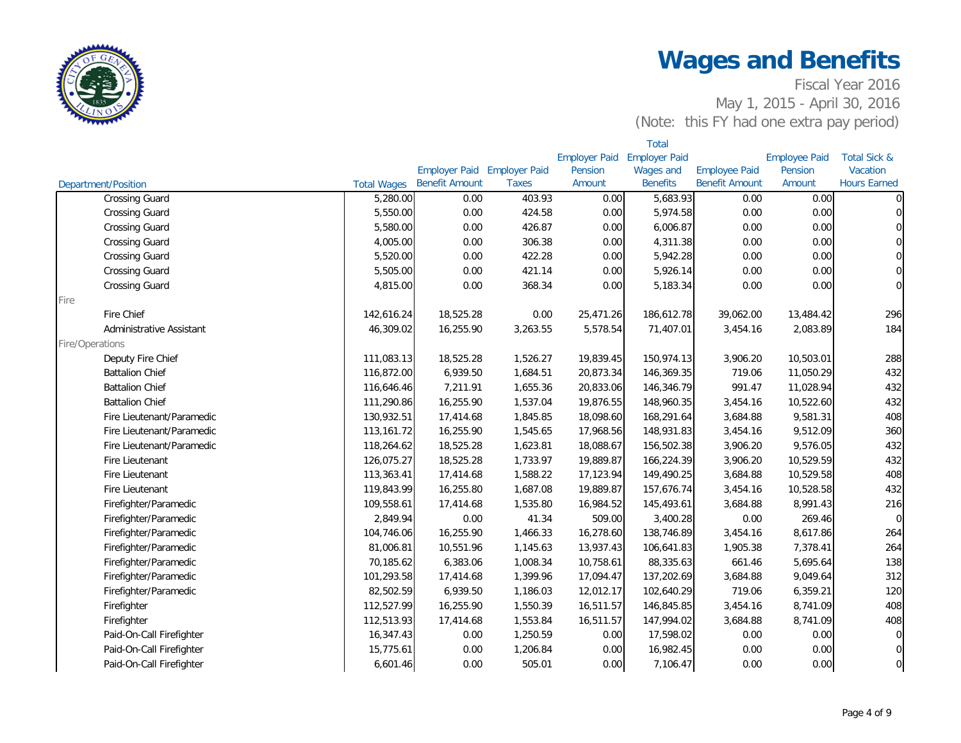

|                            |                    |                                    |              |                             | <b>Total</b>     |                       |                      |                         |
|----------------------------|--------------------|------------------------------------|--------------|-----------------------------|------------------|-----------------------|----------------------|-------------------------|
|                            |                    |                                    |              | Employer Paid Employer Paid |                  |                       | <b>Employee Paid</b> | <b>Total Sick &amp;</b> |
|                            |                    | <b>Employer Paid Employer Paid</b> |              | Pension                     | <b>Wages and</b> | <b>Employee Paid</b>  | Pension              | Vacation                |
| <b>Department/Position</b> | <b>Total Wages</b> | <b>Benefit Amount</b>              | <b>Taxes</b> | Amount                      | <b>Benefits</b>  | <b>Benefit Amount</b> | Amount               | <b>Hours Earned</b>     |
| <b>Crossing Guard</b>      | 5,280.00           | 0.00                               | 403.93       | 0.00                        | 5,683.93         | 0.00                  | 0.00                 | $\overline{0}$          |
| <b>Crossing Guard</b>      | 5,550.00           | 0.00                               | 424.58       | 0.00                        | 5,974.58         | 0.00                  | 0.00                 | $\overline{0}$          |
| <b>Crossing Guard</b>      | 5,580.00           | 0.00                               | 426.87       | 0.00                        | 6,006.87         | 0.00                  | 0.00                 | $\overline{0}$          |
| <b>Crossing Guard</b>      | 4,005.00           | 0.00                               | 306.38       | 0.00                        | 4,311.38         | 0.00                  | 0.00                 | $\overline{0}$          |
| <b>Crossing Guard</b>      | 5,520.00           | 0.00                               | 422.28       | 0.00                        | 5,942.28         | 0.00                  | 0.00                 | $\overline{0}$          |
| <b>Crossing Guard</b>      | 5,505.00           | 0.00                               | 421.14       | 0.00                        | 5,926.14         | 0.00                  | 0.00                 | $\overline{0}$          |
| <b>Crossing Guard</b>      | 4,815.00           | 0.00                               | 368.34       | 0.00                        | 5,183.34         | 0.00                  | 0.00                 | $\overline{0}$          |
| Fire                       |                    |                                    |              |                             |                  |                       |                      |                         |
| Fire Chief                 | 142,616.24         | 18,525.28                          | 0.00         | 25,471.26                   | 186,612.78       | 39,062.00             | 13,484.42            | 296                     |
| Administrative Assistant   | 46,309.02          | 16,255.90                          | 3,263.55     | 5,578.54                    | 71,407.01        | 3,454.16              | 2,083.89             | 184                     |
| Fire/Operations            |                    |                                    |              |                             |                  |                       |                      |                         |
| Deputy Fire Chief          | 111,083.13         | 18,525.28                          | 1,526.27     | 19,839.45                   | 150,974.13       | 3,906.20              | 10,503.01            | 288                     |
| <b>Battalion Chief</b>     | 116,872.00         | 6,939.50                           | 1,684.51     | 20,873.34                   | 146,369.35       | 719.06                | 11,050.29            | 432                     |
| <b>Battalion Chief</b>     | 116,646.46         | 7,211.91                           | 1,655.36     | 20,833.06                   | 146,346.79       | 991.47                | 11,028.94            | 432                     |
| <b>Battalion Chief</b>     | 111,290.86         | 16,255.90                          | 1,537.04     | 19,876.55                   | 148,960.35       | 3,454.16              | 10,522.60            | 432                     |
| Fire Lieutenant/Paramedic  | 130,932.51         | 17,414.68                          | 1,845.85     | 18,098.60                   | 168,291.64       | 3,684.88              | 9,581.31             | 408                     |
| Fire Lieutenant/Paramedic  | 113,161.72         | 16,255.90                          | 1,545.65     | 17,968.56                   | 148,931.83       | 3,454.16              | 9,512.09             | 360                     |
| Fire Lieutenant/Paramedic  | 118,264.62         | 18,525.28                          | 1,623.81     | 18,088.67                   | 156,502.38       | 3,906.20              | 9,576.05             | 432                     |
| Fire Lieutenant            | 126,075.27         | 18,525.28                          | 1,733.97     | 19,889.87                   | 166,224.39       | 3,906.20              | 10,529.59            | 432                     |
| Fire Lieutenant            | 113,363.41         | 17,414.68                          | 1,588.22     | 17,123.94                   | 149,490.25       | 3,684.88              | 10,529.58            | 408                     |
| Fire Lieutenant            | 119,843.99         | 16,255.80                          | 1,687.08     | 19,889.87                   | 157,676.74       | 3,454.16              | 10,528.58            | 432                     |
| Firefighter/Paramedic      | 109,558.61         | 17,414.68                          | 1,535.80     | 16,984.52                   | 145,493.61       | 3,684.88              | 8,991.43             | 216                     |
| Firefighter/Paramedic      | 2,849.94           | 0.00                               | 41.34        | 509.00                      | 3,400.28         | 0.00                  | 269.46               | $\overline{0}$          |
| Firefighter/Paramedic      | 104,746.06         | 16,255.90                          | 1,466.33     | 16,278.60                   | 138,746.89       | 3,454.16              | 8,617.86             | 264                     |
| Firefighter/Paramedic      | 81,006.81          | 10,551.96                          | 1,145.63     | 13,937.43                   | 106,641.83       | 1,905.38              | 7,378.41             | 264                     |
| Firefighter/Paramedic      | 70,185.62          | 6,383.06                           | 1,008.34     | 10,758.61                   | 88,335.63        | 661.46                | 5,695.64             | 138                     |
| Firefighter/Paramedic      | 101,293.58         | 17,414.68                          | 1,399.96     | 17,094.47                   | 137,202.69       | 3,684.88              | 9,049.64             | 312                     |
| Firefighter/Paramedic      | 82,502.59          | 6,939.50                           | 1,186.03     | 12,012.17                   | 102,640.29       | 719.06                | 6,359.21             | 120                     |
| Firefighter                | 112,527.99         | 16,255.90                          | 1,550.39     | 16,511.57                   | 146,845.85       | 3,454.16              | 8,741.09             | 408                     |
| Firefighter                | 112,513.93         | 17,414.68                          | 1,553.84     | 16,511.57                   | 147,994.02       | 3,684.88              | 8,741.09             | 408                     |
| Paid-On-Call Firefighter   | 16,347.43          | 0.00                               | 1,250.59     | 0.00                        | 17,598.02        | 0.00                  | 0.00                 | $\overline{0}$          |
| Paid-On-Call Firefighter   | 15,775.61          | 0.00                               | 1,206.84     | 0.00                        | 16,982.45        | 0.00                  | 0.00                 | $\overline{0}$          |
| Paid-On-Call Firefighter   | 6,601.46           | 0.00                               | 505.01       | 0.00                        | 7,106.47         | 0.00                  | 0.00                 | $\mathbf 0$             |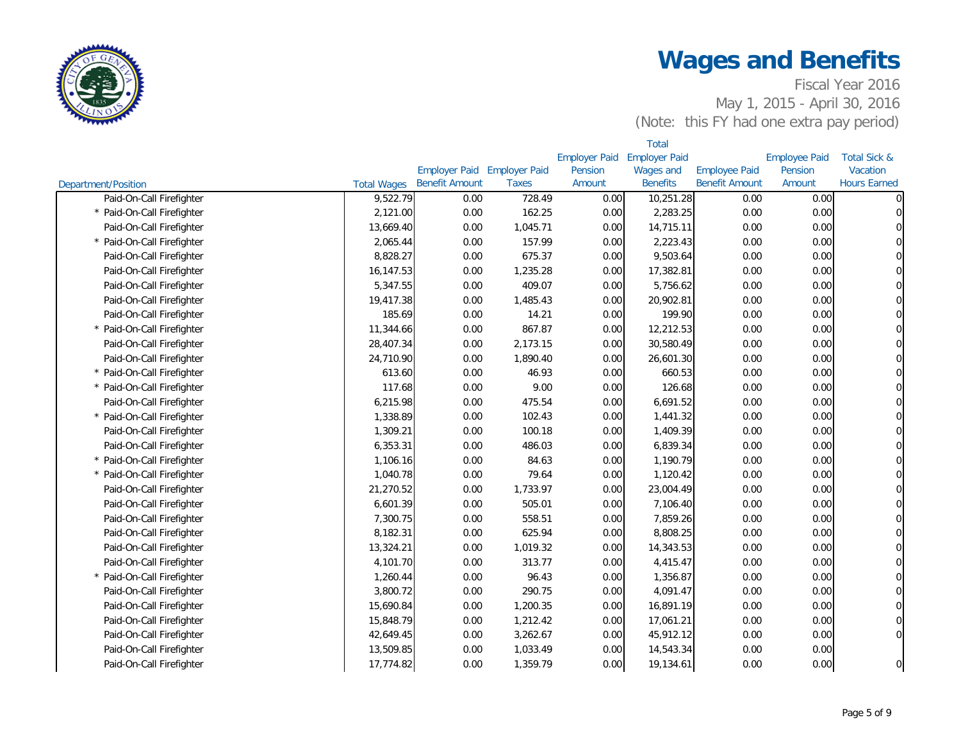

|                            | <b>Total</b>       |                             |              |                      |                      |                       |                      |                         |
|----------------------------|--------------------|-----------------------------|--------------|----------------------|----------------------|-----------------------|----------------------|-------------------------|
|                            |                    |                             |              | <b>Employer Paid</b> | <b>Employer Paid</b> |                       | <b>Employee Paid</b> | <b>Total Sick &amp;</b> |
|                            |                    | Employer Paid Employer Paid |              | Pension              | Wages and            | <b>Employee Paid</b>  | Pension              | Vacation                |
| <b>Department/Position</b> | <b>Total Wages</b> | <b>Benefit Amount</b>       | <b>Taxes</b> | Amount               | <b>Benefits</b>      | <b>Benefit Amount</b> | Amount               | <b>Hours Earned</b>     |
| Paid-On-Call Firefighter   | 9,522.79           | 0.00                        | 728.49       | 0.00                 | 10,251.28            | 0.00                  | 0.00                 | $\mathbf 0$             |
| * Paid-On-Call Firefighter | 2,121.00           | 0.00                        | 162.25       | 0.00                 | 2,283.25             | 0.00                  | 0.00                 | $\mathbf 0$             |
| Paid-On-Call Firefighter   | 13,669.40          | 0.00                        | 1,045.71     | 0.00                 | 14,715.11            | 0.00                  | 0.00                 | $\mathbf 0$             |
| * Paid-On-Call Firefighter | 2,065.44           | 0.00                        | 157.99       | 0.00                 | 2,223.43             | 0.00                  | 0.00                 | $\mathbf 0$             |
| Paid-On-Call Firefighter   | 8,828.27           | 0.00                        | 675.37       | 0.00                 | 9,503.64             | 0.00                  | 0.00                 | $\mathbf 0$             |
| Paid-On-Call Firefighter   | 16,147.53          | 0.00                        | 1,235.28     | 0.00                 | 17,382.81            | 0.00                  | 0.00                 | $\mathbf 0$             |
| Paid-On-Call Firefighter   | 5,347.55           | 0.00                        | 409.07       | 0.00                 | 5,756.62             | 0.00                  | 0.00                 | $\pmb{0}$               |
| Paid-On-Call Firefighter   | 19,417.38          | 0.00                        | 1,485.43     | 0.00                 | 20,902.81            | 0.00                  | 0.00                 | $\mathbf 0$             |
| Paid-On-Call Firefighter   | 185.69             | 0.00                        | 14.21        | 0.00                 | 199.90               | 0.00                  | 0.00                 | $\overline{0}$          |
| * Paid-On-Call Firefighter | 11,344.66          | 0.00                        | 867.87       | 0.00                 | 12,212.53            | 0.00                  | 0.00                 | $\mathbf 0$             |
| Paid-On-Call Firefighter   | 28,407.34          | 0.00                        | 2,173.15     | 0.00                 | 30,580.49            | 0.00                  | 0.00                 | $\overline{0}$          |
| Paid-On-Call Firefighter   | 24,710.90          | 0.00                        | 1,890.40     | 0.00                 | 26,601.30            | 0.00                  | 0.00                 | $\mathbf 0$             |
| * Paid-On-Call Firefighter | 613.60             | 0.00                        | 46.93        | 0.00                 | 660.53               | 0.00                  | 0.00                 | $\mathbf 0$             |
| * Paid-On-Call Firefighter | 117.68             | 0.00                        | 9.00         | 0.00                 | 126.68               | 0.00                  | 0.00                 | $\mathbf 0$             |
| Paid-On-Call Firefighter   | 6,215.98           | 0.00                        | 475.54       | 0.00                 | 6,691.52             | 0.00                  | 0.00                 | $\mathbf 0$             |
| * Paid-On-Call Firefighter | 1,338.89           | 0.00                        | 102.43       | 0.00                 | 1,441.32             | 0.00                  | 0.00                 | $\pmb{0}$               |
| Paid-On-Call Firefighter   | 1,309.21           | 0.00                        | 100.18       | 0.00                 | 1,409.39             | 0.00                  | 0.00                 | $\mathbf 0$             |
| Paid-On-Call Firefighter   | 6,353.31           | 0.00                        | 486.03       | 0.00                 | 6,839.34             | 0.00                  | 0.00                 | $\mathbf 0$             |
| * Paid-On-Call Firefighter | 1,106.16           | 0.00                        | 84.63        | 0.00                 | 1,190.79             | 0.00                  | 0.00                 | $\mathbf 0$             |
| * Paid-On-Call Firefighter | 1,040.78           | 0.00                        | 79.64        | 0.00                 | 1,120.42             | 0.00                  | 0.00                 | $\mathbf 0$             |
| Paid-On-Call Firefighter   | 21,270.52          | 0.00                        | 1,733.97     | 0.00                 | 23,004.49            | 0.00                  | 0.00                 | $\mathbf 0$             |
| Paid-On-Call Firefighter   | 6,601.39           | 0.00                        | 505.01       | 0.00                 | 7,106.40             | 0.00                  | 0.00                 | $\Omega$                |
| Paid-On-Call Firefighter   | 7,300.75           | 0.00                        | 558.51       | 0.00                 | 7,859.26             | 0.00                  | 0.00                 | $\mathbf 0$             |
| Paid-On-Call Firefighter   | 8,182.31           | 0.00                        | 625.94       | 0.00                 | 8,808.25             | 0.00                  | 0.00                 | $\mathbf 0$             |
| Paid-On-Call Firefighter   | 13,324.21          | 0.00                        | 1,019.32     | 0.00                 | 14,343.53            | 0.00                  | 0.00                 | $\mathbf 0$             |
| Paid-On-Call Firefighter   | 4,101.70           | 0.00                        | 313.77       | 0.00                 | 4,415.47             | 0.00                  | 0.00                 | $\mathbf 0$             |
| * Paid-On-Call Firefighter | 1,260.44           | 0.00                        | 96.43        | 0.00                 | 1,356.87             | 0.00                  | 0.00                 | $\overline{0}$          |
| Paid-On-Call Firefighter   | 3,800.72           | 0.00                        | 290.75       | 0.00                 | 4,091.47             | 0.00                  | 0.00                 | $\mathbf 0$             |
| Paid-On-Call Firefighter   | 15,690.84          | 0.00                        | 1,200.35     | 0.00                 | 16,891.19            | 0.00                  | 0.00                 | $\overline{0}$          |
| Paid-On-Call Firefighter   | 15,848.79          | 0.00                        | 1,212.42     | 0.00                 | 17,061.21            | 0.00                  | 0.00                 | $\mathbf 0$             |
| Paid-On-Call Firefighter   | 42,649.45          | 0.00                        | 3,262.67     | 0.00                 | 45,912.12            | 0.00                  | 0.00                 | $\mathsf{O}\xspace$     |
| Paid-On-Call Firefighter   | 13,509.85          | 0.00                        | 1,033.49     | 0.00                 | 14,543.34            | 0.00                  | 0.00                 |                         |
| Paid-On-Call Firefighter   | 17,774.82          | 0.00                        | 1,359.79     | 0.00                 | 19,134.61            | 0.00                  | 0.00                 | $\mathsf{O}\xspace$     |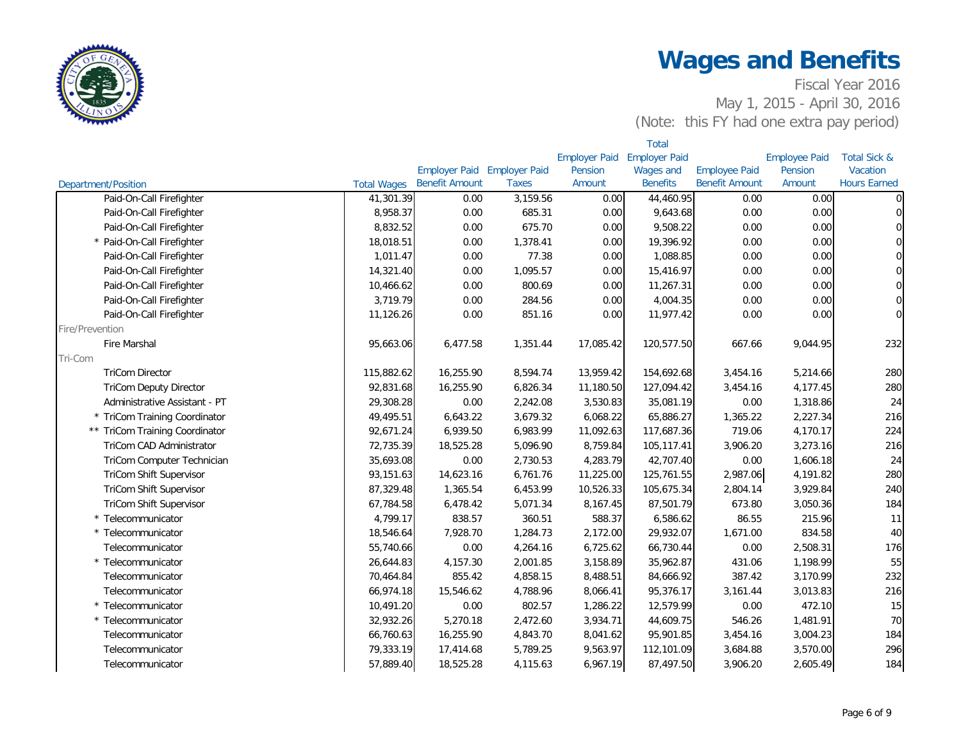

|                                |                    |                       |                             |                      | <b>Total</b>         |                       |                      |                         |
|--------------------------------|--------------------|-----------------------|-----------------------------|----------------------|----------------------|-----------------------|----------------------|-------------------------|
|                                |                    |                       |                             | <b>Employer Paid</b> | <b>Employer Paid</b> |                       | <b>Employee Paid</b> | <b>Total Sick &amp;</b> |
|                                |                    |                       | Employer Paid Employer Paid | Pension              | Wages and            | <b>Employee Paid</b>  | Pension              | Vacation                |
| Department/Position            | <b>Total Wages</b> | <b>Benefit Amount</b> | <b>Taxes</b>                | Amount               | <b>Benefits</b>      | <b>Benefit Amount</b> | Amount               | <b>Hours Earned</b>     |
| Paid-On-Call Firefighter       | 41,301.39          | 0.00                  | 3,159.56                    | 0.00                 | 44,460.95            | 0.00                  | 0.00                 | $\overline{0}$          |
| Paid-On-Call Firefighter       | 8,958.37           | 0.00                  | 685.31                      | 0.00                 | 9,643.68             | 0.00                  | 0.00                 | $\overline{0}$          |
| Paid-On-Call Firefighter       | 8,832.52           | 0.00                  | 675.70                      | 0.00                 | 9,508.22             | 0.00                  | 0.00                 | $\overline{0}$          |
| * Paid-On-Call Firefighter     | 18,018.51          | 0.00                  | 1,378.41                    | 0.00                 | 19,396.92            | 0.00                  | 0.00                 | $\overline{0}$          |
| Paid-On-Call Firefighter       | 1,011.47           | 0.00                  | 77.38                       | 0.00                 | 1,088.85             | 0.00                  | 0.00                 | $\overline{0}$          |
| Paid-On-Call Firefighter       | 14,321.40          | 0.00                  | 1,095.57                    | 0.00                 | 15,416.97            | 0.00                  | 0.00                 | $\overline{0}$          |
| Paid-On-Call Firefighter       | 10,466.62          | 0.00                  | 800.69                      | 0.00                 | 11,267.31            | 0.00                  | 0.00                 | $\overline{0}$          |
| Paid-On-Call Firefighter       | 3,719.79           | 0.00                  | 284.56                      | 0.00                 | 4,004.35             | 0.00                  | 0.00                 | $\overline{0}$          |
| Paid-On-Call Firefighter       | 11,126.26          | 0.00                  | 851.16                      | 0.00                 | 11,977.42            | 0.00                  | 0.00                 | $\overline{0}$          |
| Fire/Prevention                |                    |                       |                             |                      |                      |                       |                      |                         |
| Fire Marshal                   | 95,663.06          | 6,477.58              | 1,351.44                    | 17,085.42            | 120,577.50           | 667.66                | 9,044.95             | 232                     |
| Tri-Com                        |                    |                       |                             |                      |                      |                       |                      |                         |
| <b>TriCom Director</b>         | 115,882.62         | 16,255.90             | 8,594.74                    | 13,959.42            | 154,692.68           | 3,454.16              | 5,214.66             | 280                     |
| <b>TriCom Deputy Director</b>  | 92,831.68          | 16,255.90             | 6,826.34                    | 11,180.50            | 127,094.42           | 3,454.16              | 4,177.45             | 280                     |
| Administrative Assistant - PT  | 29,308.28          | 0.00                  | 2,242.08                    | 3,530.83             | 35,081.19            | 0.00                  | 1,318.86             | 24                      |
| * TriCom Training Coordinator  | 49,495.51          | 6,643.22              | 3,679.32                    | 6,068.22             | 65,886.27            | 1,365.22              | 2,227.34             | 216                     |
| ** TriCom Training Coordinator | 92,671.24          | 6,939.50              | 6,983.99                    | 11,092.63            | 117,687.36           | 719.06                | 4,170.17             | 224                     |
| TriCom CAD Administrator       | 72,735.39          | 18,525.28             | 5,096.90                    | 8,759.84             | 105,117.41           | 3,906.20              | 3,273.16             | 216                     |
| TriCom Computer Technician     | 35,693.08          | 0.00                  | 2,730.53                    | 4,283.79             | 42,707.40            | 0.00                  | 1,606.18             | 24                      |
| <b>TriCom Shift Supervisor</b> | 93,151.63          | 14,623.16             | 6,761.76                    | 11,225.00            | 125,761.55           | 2,987.06              | 4,191.82             | 280                     |
| TriCom Shift Supervisor        | 87,329.48          | 1,365.54              | 6,453.99                    | 10,526.33            | 105,675.34           | 2,804.14              | 3,929.84             | 240                     |
| TriCom Shift Supervisor        | 67,784.58          | 6,478.42              | 5,071.34                    | 8,167.45             | 87,501.79            | 673.80                | 3,050.36             | 184                     |
| * Telecommunicator             | 4,799.17           | 838.57                | 360.51                      | 588.37               | 6,586.62             | 86.55                 | 215.96               | 11                      |
| * Telecommunicator             | 18,546.64          | 7,928.70              | 1,284.73                    | 2,172.00             | 29,932.07            | 1,671.00              | 834.58               | 40                      |
| Telecommunicator               | 55,740.66          | 0.00                  | 4,264.16                    | 6,725.62             | 66,730.44            | 0.00                  | 2,508.31             | 176                     |
| * Telecommunicator             | 26,644.83          | 4,157.30              | 2,001.85                    | 3,158.89             | 35,962.87            | 431.06                | 1,198.99             | 55                      |
| Telecommunicator               | 70,464.84          | 855.42                | 4,858.15                    | 8,488.51             | 84,666.92            | 387.42                | 3,170.99             | 232                     |
| Telecommunicator               | 66,974.18          | 15,546.62             | 4,788.96                    | 8,066.41             | 95,376.17            | 3,161.44              | 3,013.83             | 216                     |
| * Telecommunicator             | 10,491.20          | 0.00                  | 802.57                      | 1,286.22             | 12,579.99            | 0.00                  | 472.10               | 15                      |
| * Telecommunicator             | 32,932.26          | 5,270.18              | 2,472.60                    | 3,934.71             | 44,609.75            | 546.26                | 1,481.91             | 70                      |
| Telecommunicator               | 66,760.63          | 16,255.90             | 4,843.70                    | 8,041.62             | 95,901.85            | 3,454.16              | 3,004.23             | 184                     |
| Telecommunicator               | 79,333.19          | 17,414.68             | 5,789.25                    | 9,563.97             | 112,101.09           | 3,684.88              | 3,570.00             | 296                     |
| Telecommunicator               | 57,889.40          | 18,525.28             | 4,115.63                    | 6,967.19             | 87,497.50            | 3,906.20              | 2,605.49             | 184                     |
|                                |                    |                       |                             |                      |                      |                       |                      |                         |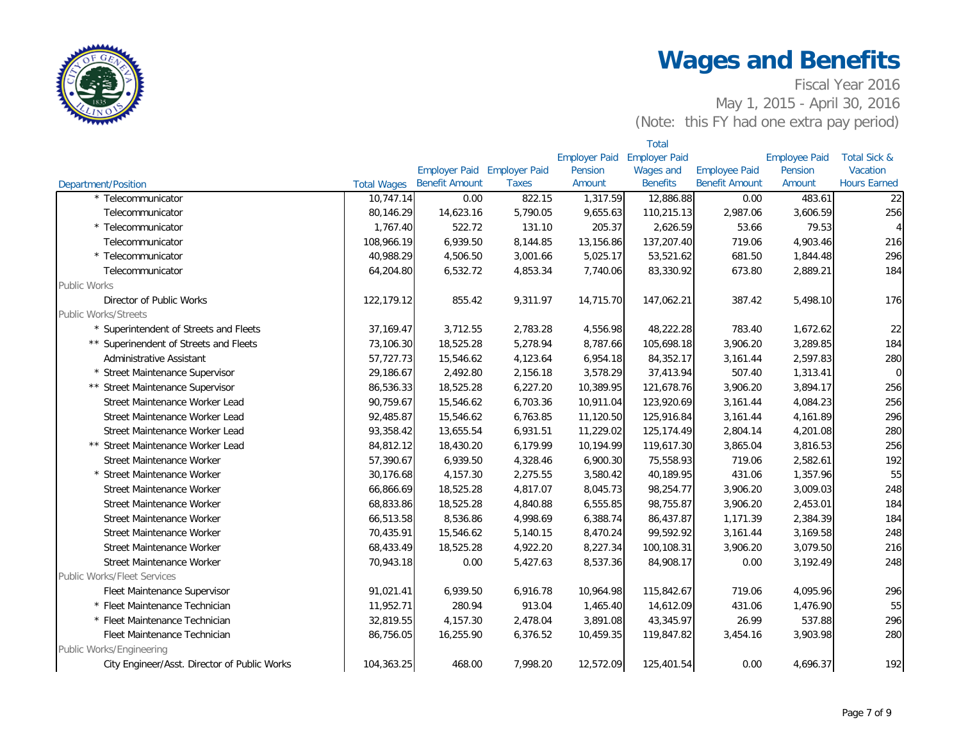

|                                              |                    | <b>Total</b>          |                             |                      |                      |                       |                      |                         |
|----------------------------------------------|--------------------|-----------------------|-----------------------------|----------------------|----------------------|-----------------------|----------------------|-------------------------|
|                                              |                    |                       |                             | <b>Employer Paid</b> | <b>Employer Paid</b> |                       | <b>Employee Paid</b> | <b>Total Sick &amp;</b> |
|                                              |                    |                       | Employer Paid Employer Paid | Pension              | Wages and            | <b>Employee Paid</b>  | Pension              | Vacation                |
| Department/Position                          | <b>Total Wages</b> | <b>Benefit Amount</b> | <b>Taxes</b>                | Amount               | <b>Benefits</b>      | <b>Benefit Amount</b> | Amount               | <b>Hours Earned</b>     |
| * Telecommunicator                           | 10,747.14          | 0.00                  | 822.15                      | 1,317.59             | 12,886.88            | 0.00                  | 483.61               | 22                      |
| Telecommunicator                             | 80,146.29          | 14,623.16             | 5,790.05                    | 9,655.63             | 110,215.13           | 2,987.06              | 3,606.59             | 256                     |
| * Telecommunicator                           | 1,767.40           | 522.72                | 131.10                      | 205.37               | 2,626.59             | 53.66                 | 79.53                | $\overline{4}$          |
| Telecommunicator                             | 108,966.19         | 6,939.50              | 8,144.85                    | 13,156.86            | 137,207.40           | 719.06                | 4,903.46             | 216                     |
| * Telecommunicator                           | 40,988.29          | 4,506.50              | 3,001.66                    | 5,025.17             | 53,521.62            | 681.50                | 1,844.48             | 296                     |
| Telecommunicator                             | 64,204.80          | 6,532.72              | 4,853.34                    | 7,740.06             | 83,330.92            | 673.80                | 2,889.21             | 184                     |
| <b>Public Works</b>                          |                    |                       |                             |                      |                      |                       |                      |                         |
| Director of Public Works                     | 122,179.12         | 855.42                | 9,311.97                    | 14,715.70            | 147,062.21           | 387.42                | 5,498.10             | 176                     |
| <b>Public Works/Streets</b>                  |                    |                       |                             |                      |                      |                       |                      |                         |
| * Superintendent of Streets and Fleets       | 37, 169. 47        | 3,712.55              | 2,783.28                    | 4,556.98             | 48,222.28            | 783.40                | 1,672.62             | 22                      |
| ** Superinendent of Streets and Fleets       | 73,106.30          | 18,525.28             | 5,278.94                    | 8,787.66             | 105,698.18           | 3,906.20              | 3,289.85             | 184                     |
| Administrative Assistant                     | 57,727.73          | 15,546.62             | 4,123.64                    | 6,954.18             | 84,352.17            | 3,161.44              | 2,597.83             | 280                     |
| * Street Maintenance Supervisor              | 29,186.67          | 2,492.80              | 2,156.18                    | 3,578.29             | 37,413.94            | 507.40                | 1,313.41             | $\mathbf 0$             |
| ** Street Maintenance Supervisor             | 86,536.33          | 18,525.28             | 6,227.20                    | 10,389.95            | 121,678.76           | 3,906.20              | 3,894.17             | 256                     |
| Street Maintenance Worker Lead               | 90,759.67          | 15,546.62             | 6,703.36                    | 10,911.04            | 123,920.69           | 3,161.44              | 4,084.23             | 256                     |
| Street Maintenance Worker Lead               | 92,485.87          | 15,546.62             | 6,763.85                    | 11,120.50            | 125,916.84           | 3,161.44              | 4,161.89             | 296                     |
| Street Maintenance Worker Lead               | 93,358.42          | 13,655.54             | 6,931.51                    | 11,229.02            | 125,174.49           | 2,804.14              | 4,201.08             | 280                     |
| ** Street Maintenance Worker Lead            | 84,812.12          | 18,430.20             | 6,179.99                    | 10,194.99            | 119,617.30           | 3,865.04              | 3,816.53             | 256                     |
| Street Maintenance Worker                    | 57,390.67          | 6,939.50              | 4,328.46                    | 6,900.30             | 75,558.93            | 719.06                | 2,582.61             | 192                     |
| * Street Maintenance Worker                  | 30,176.68          | 4,157.30              | 2,275.55                    | 3,580.42             | 40,189.95            | 431.06                | 1,357.96             | 55                      |
| Street Maintenance Worker                    | 66,866.69          | 18,525.28             | 4,817.07                    | 8,045.73             | 98,254.77            | 3,906.20              | 3,009.03             | 248                     |
| Street Maintenance Worker                    | 68,833.86          | 18,525.28             | 4,840.88                    | 6,555.85             | 98,755.87            | 3,906.20              | 2,453.01             | 184                     |
| Street Maintenance Worker                    | 66,513.58          | 8,536.86              | 4,998.69                    | 6,388.74             | 86,437.87            | 1,171.39              | 2,384.39             | 184                     |
| <b>Street Maintenance Worker</b>             | 70,435.91          | 15,546.62             | 5,140.15                    | 8,470.24             | 99,592.92            | 3,161.44              | 3,169.58             | 248                     |
| Street Maintenance Worker                    | 68,433.49          | 18,525.28             | 4,922.20                    | 8,227.34             | 100,108.31           | 3,906.20              | 3,079.50             | 216                     |
| <b>Street Maintenance Worker</b>             | 70,943.18          | 0.00                  | 5,427.63                    | 8,537.36             | 84,908.17            | 0.00                  | 3,192.49             | 248                     |
| <b>Public Works/Fleet Services</b>           |                    |                       |                             |                      |                      |                       |                      |                         |
| Fleet Maintenance Supervisor                 | 91,021.41          | 6,939.50              | 6,916.78                    | 10,964.98            | 115,842.67           | 719.06                | 4,095.96             | 296                     |
| * Fleet Maintenance Technician               | 11,952.71          | 280.94                | 913.04                      | 1,465.40             | 14,612.09            | 431.06                | 1,476.90             | 55                      |
| * Fleet Maintenance Technician               | 32,819.55          | 4,157.30              | 2,478.04                    | 3,891.08             | 43,345.97            | 26.99                 | 537.88               | 296                     |
| Fleet Maintenance Technician                 | 86,756.05          | 16,255.90             | 6,376.52                    | 10,459.35            | 119,847.82           | 3,454.16              | 3,903.98             | 280                     |
| Public Works/Engineering                     |                    |                       |                             |                      |                      |                       |                      |                         |
| City Engineer/Asst. Director of Public Works | 104,363.25         | 468.00                | 7,998.20                    | 12,572.09            | 125,401.54           | 0.00                  | 4,696.37             | 192                     |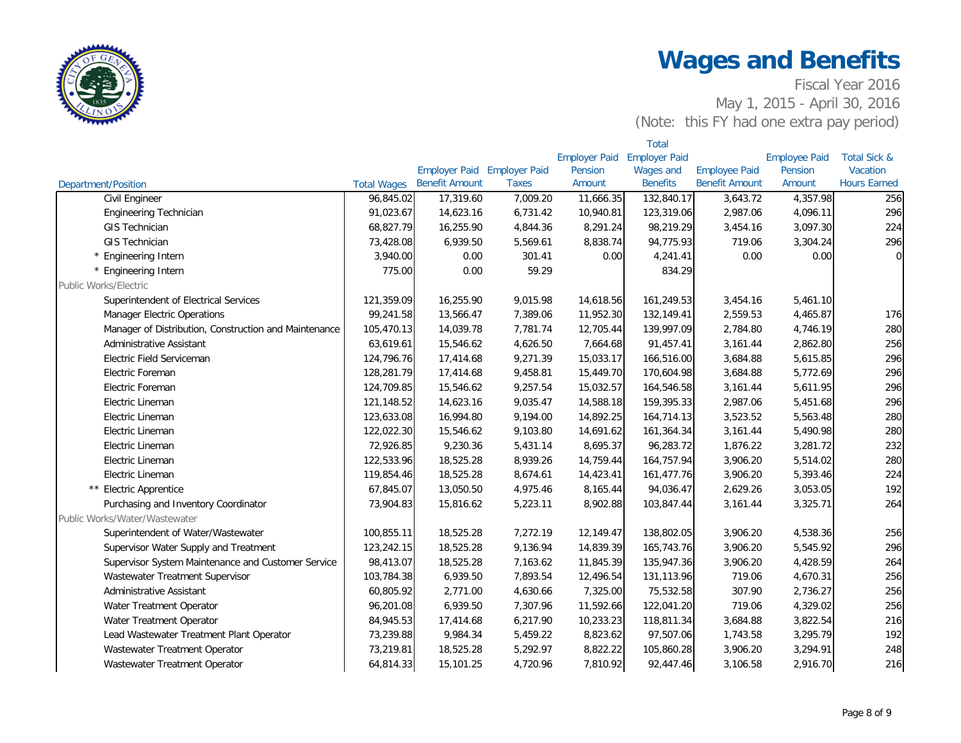

|                                                       |                    |                       |                             |                      | <b>Total</b>         |                       |                      |                         |
|-------------------------------------------------------|--------------------|-----------------------|-----------------------------|----------------------|----------------------|-----------------------|----------------------|-------------------------|
|                                                       |                    |                       |                             | <b>Employer Paid</b> | <b>Employer Paid</b> |                       | <b>Employee Paid</b> | <b>Total Sick &amp;</b> |
|                                                       |                    |                       | Employer Paid Employer Paid | Pension              | Wages and            | <b>Employee Paid</b>  | Pension              | Vacation                |
| <b>Department/Position</b>                            | <b>Total Wages</b> | <b>Benefit Amount</b> | <b>Taxes</b>                | Amount               | <b>Benefits</b>      | <b>Benefit Amount</b> | Amount               | <b>Hours Earned</b>     |
| Civil Engineer                                        | 96,845.02          | 17,319.60             | 7,009.20                    | 11,666.35            | 132,840.17           | 3,643.72              | 4,357.98             | 256                     |
| <b>Engineering Technician</b>                         | 91,023.67          | 14,623.16             | 6,731.42                    | 10,940.81            | 123,319.06           | 2,987.06              | 4,096.11             | 296                     |
| <b>GIS Technician</b>                                 | 68,827.79          | 16,255.90             | 4,844.36                    | 8,291.24             | 98,219.29            | 3,454.16              | 3,097.30             | 224                     |
| <b>GIS Technician</b>                                 | 73,428.08          | 6,939.50              | 5,569.61                    | 8,838.74             | 94,775.93            | 719.06                | 3,304.24             | 296                     |
| * Engineering Intern                                  | 3,940.00           | 0.00                  | 301.41                      | 0.00                 | 4,241.41             | 0.00                  | 0.00                 | $\overline{0}$          |
| * Engineering Intern                                  | 775.00             | 0.00                  | 59.29                       |                      | 834.29               |                       |                      |                         |
| Public Works/Electric                                 |                    |                       |                             |                      |                      |                       |                      |                         |
| Superintendent of Electrical Services                 | 121,359.09         | 16,255.90             | 9,015.98                    | 14,618.56            | 161,249.53           | 3,454.16              | 5,461.10             |                         |
| <b>Manager Electric Operations</b>                    | 99,241.58          | 13,566.47             | 7,389.06                    | 11,952.30            | 132,149.41           | 2,559.53              | 4,465.87             | 176                     |
| Manager of Distribution, Construction and Maintenance | 105,470.13         | 14,039.78             | 7,781.74                    | 12,705.44            | 139,997.09           | 2,784.80              | 4,746.19             | 280                     |
| Administrative Assistant                              | 63,619.61          | 15,546.62             | 4,626.50                    | 7,664.68             | 91,457.41            | 3,161.44              | 2,862.80             | 256                     |
| Electric Field Serviceman                             | 124,796.76         | 17,414.68             | 9,271.39                    | 15,033.17            | 166,516.00           | 3,684.88              | 5,615.85             | 296                     |
| Electric Foreman                                      | 128,281.79         | 17,414.68             | 9,458.81                    | 15,449.70            | 170,604.98           | 3,684.88              | 5,772.69             | 296                     |
| Electric Foreman                                      | 124,709.85         | 15,546.62             | 9,257.54                    | 15,032.57            | 164,546.58           | 3,161.44              | 5,611.95             | 296                     |
| Electric Lineman                                      | 121,148.52         | 14,623.16             | 9,035.47                    | 14,588.18            | 159,395.33           | 2,987.06              | 5,451.68             | 296                     |
| Electric Lineman                                      | 123,633.08         | 16,994.80             | 9,194.00                    | 14,892.25            | 164,714.13           | 3,523.52              | 5,563.48             | 280                     |
| Electric Lineman                                      | 122,022.30         | 15,546.62             | 9,103.80                    | 14,691.62            | 161,364.34           | 3,161.44              | 5,490.98             | 280                     |
| Electric Lineman                                      | 72,926.85          | 9,230.36              | 5,431.14                    | 8,695.37             | 96,283.72            | 1,876.22              | 3,281.72             | 232                     |
| Electric Lineman                                      | 122,533.96         | 18,525.28             | 8,939.26                    | 14,759.44            | 164,757.94           | 3,906.20              | 5,514.02             | 280                     |
| Electric Lineman                                      | 119,854.46         | 18,525.28             | 8,674.61                    | 14,423.41            | 161,477.76           | 3,906.20              | 5,393.46             | 224                     |
| ** Electric Apprentice                                | 67,845.07          | 13,050.50             | 4,975.46                    | 8,165.44             | 94,036.47            | 2,629.26              | 3,053.05             | 192                     |
| Purchasing and Inventory Coordinator                  | 73,904.83          | 15,816.62             | 5,223.11                    | 8,902.88             | 103,847.44           | 3,161.44              | 3,325.71             | 264                     |
| Public Works/Water/Wastewater                         |                    |                       |                             |                      |                      |                       |                      |                         |
| Superintendent of Water/Wastewater                    | 100,855.11         | 18,525.28             | 7,272.19                    | 12,149.47            | 138,802.05           | 3,906.20              | 4,538.36             | 256                     |
| Supervisor Water Supply and Treatment                 | 123,242.15         | 18,525.28             | 9,136.94                    | 14,839.39            | 165,743.76           | 3,906.20              | 5,545.92             | 296                     |
| Supervisor System Maintenance and Customer Service    | 98,413.07          | 18,525.28             | 7,163.62                    | 11,845.39            | 135,947.36           | 3,906.20              | 4,428.59             | 264                     |
| Wastewater Treatment Supervisor                       | 103,784.38         | 6,939.50              | 7,893.54                    | 12,496.54            | 131,113.96           | 719.06                | 4,670.31             | 256                     |
| Administrative Assistant                              | 60,805.92          | 2,771.00              | 4,630.66                    | 7,325.00             | 75,532.58            | 307.90                | 2,736.27             | 256                     |
| Water Treatment Operator                              | 96,201.08          | 6,939.50              | 7,307.96                    | 11,592.66            | 122,041.20           | 719.06                | 4,329.02             | 256                     |
| Water Treatment Operator                              | 84,945.53          | 17,414.68             | 6,217.90                    | 10,233.23            | 118,811.34           | 3,684.88              | 3,822.54             | 216                     |
| Lead Wastewater Treatment Plant Operator              | 73,239.88          | 9,984.34              | 5,459.22                    | 8,823.62             | 97,507.06            | 1,743.58              | 3,295.79             | 192                     |
| Wastewater Treatment Operator                         | 73,219.81          | 18,525.28             | 5,292.97                    | 8,822.22             | 105,860.28           | 3,906.20              | 3,294.91             | 248                     |
| Wastewater Treatment Operator                         | 64,814.33          | 15,101.25             | 4,720.96                    | 7,810.92             | 92,447.46            | 3,106.58              | 2,916.70             | 216                     |